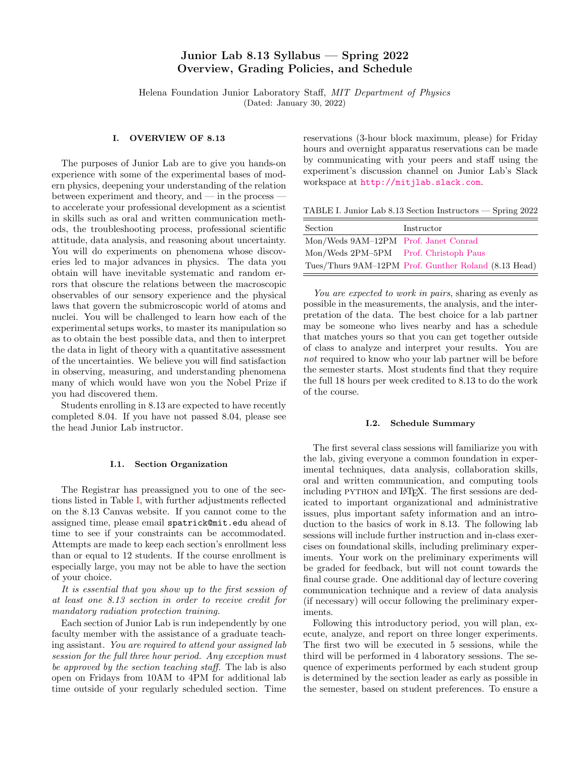# Junior Lab 8.13 Syllabus — Spring 2022 Overview, Grading Policies, and Schedule

Helena Foundation Junior Laboratory Staff, MIT Department of Physics (Dated: January 30, 2022)

### I. OVERVIEW OF 8.13

The purposes of Junior Lab are to give you hands-on experience with some of the experimental bases of modern physics, deepening your understanding of the relation between experiment and theory, and  $-$  in the process  $$ to accelerate your professional development as a scientist in skills such as oral and written communication methods, the troubleshooting process, professional scientific attitude, data analysis, and reasoning about uncertainty. You will do experiments on phenomena whose discoveries led to major advances in physics. The data you obtain will have inevitable systematic and random errors that obscure the relations between the macroscopic observables of our sensory experience and the physical laws that govern the submicroscopic world of atoms and nuclei. You will be challenged to learn how each of the experimental setups works, to master its manipulation so as to obtain the best possible data, and then to interpret the data in light of theory with a quantitative assessment of the uncertainties. We believe you will find satisfaction in observing, measuring, and understanding phenomena many of which would have won you the Nobel Prize if you had discovered them.

Students enrolling in 8.13 are expected to have recently completed 8.04. If you have not passed 8.04, please see the head Junior Lab instructor.

### I.1. Section Organization

The Registrar has preassigned you to one of the sections listed in Table [I,](#page-0-0) with further adjustments reflected on the 8.13 Canvas website. If you cannot come to the assigned time, please email spatrick@mit.edu ahead of time to see if your constraints can be accommodated. Attempts are made to keep each section's enrollment less than or equal to 12 students. If the course enrollment is especially large, you may not be able to have the section of your choice.

It is essential that you show up to the first session of at least one 8.13 section in order to receive credit for mandatory radiation protection training.

Each section of Junior Lab is run independently by one faculty member with the assistance of a graduate teaching assistant. You are required to attend your assigned lab session for the full three hour period. Any exception must be approved by the section teaching staff. The lab is also open on Fridays from 10AM to 4PM for additional lab time outside of your regularly scheduled section. Time

reservations (3-hour block maximum, please) for Friday hours and overnight apparatus reservations can be made by communicating with your peers and staff using the experiment's discussion channel on Junior Lab's Slack workspace at <http://mitjlab.slack.com>.

<span id="page-0-0"></span>TABLE I. Junior Lab 8.13 Section Instructors — Spring 2022

| Section                               | Instructor                                           |
|---------------------------------------|------------------------------------------------------|
| Mon/Weds 9AM-12PM Prof. Janet Conrad  |                                                      |
| Mon/Weds 2PM-5PM Prof. Christoph Paus |                                                      |
|                                       | Tues/Thurs 9AM-12PM Prof. Gunther Roland (8.13 Head) |

You are expected to work in pairs, sharing as evenly as possible in the measurements, the analysis, and the interpretation of the data. The best choice for a lab partner may be someone who lives nearby and has a schedule that matches yours so that you can get together outside of class to analyze and interpret your results. You are not required to know who your lab partner will be before the semester starts. Most students find that they require the full 18 hours per week credited to 8.13 to do the work of the course.

#### I.2. Schedule Summary

The first several class sessions will familiarize you with the lab, giving everyone a common foundation in experimental techniques, data analysis, collaboration skills, oral and written communication, and computing tools including PYTHON and LAT<sub>EX</sub>. The first sessions are dedicated to important organizational and administrative issues, plus important safety information and an introduction to the basics of work in 8.13. The following lab sessions will include further instruction and in-class exercises on foundational skills, including preliminary experiments. Your work on the preliminary experiments will be graded for feedback, but will not count towards the final course grade. One additional day of lecture covering communication technique and a review of data analysis (if necessary) will occur following the preliminary experiments.

Following this introductory period, you will plan, execute, analyze, and report on three longer experiments. The first two will be executed in 5 sessions, while the third will be performed in 4 laboratory sessions. The sequence of experiments performed by each student group is determined by the section leader as early as possible in the semester, based on student preferences. To ensure a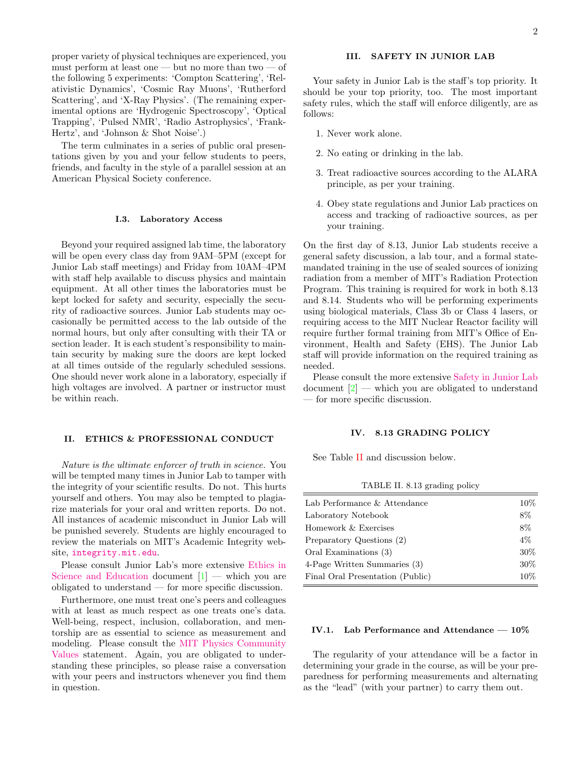proper variety of physical techniques are experienced, you must perform at least one — but no more than two — of the following 5 experiments: 'Compton Scattering', 'Relativistic Dynamics', 'Cosmic Ray Muons', 'Rutherford Scattering', and 'X-Ray Physics'. (The remaining experimental options are 'Hydrogenic Spectroscopy', 'Optical Trapping', 'Pulsed NMR', 'Radio Astrophysics', 'Frank-Hertz', and 'Johnson & Shot Noise'.)

The term culminates in a series of public oral presentations given by you and your fellow students to peers, friends, and faculty in the style of a parallel session at an American Physical Society conference.

### I.3. Laboratory Access

Beyond your required assigned lab time, the laboratory will be open every class day from 9AM–5PM (except for Junior Lab staff meetings) and Friday from 10AM–4PM with staff help available to discuss physics and maintain equipment. At all other times the laboratories must be kept locked for safety and security, especially the security of radioactive sources. Junior Lab students may occasionally be permitted access to the lab outside of the normal hours, but only after consulting with their TA or section leader. It is each student's responsibility to maintain security by making sure the doors are kept locked at all times outside of the regularly scheduled sessions. One should never work alone in a laboratory, especially if high voltages are involved. A partner or instructor must be within reach.

### II. ETHICS & PROFESSIONAL CONDUCT

Nature is the ultimate enforcer of truth in science. You will be tempted many times in Junior Lab to tamper with the integrity of your scientific results. Do not. This hurts yourself and others. You may also be tempted to plagiarize materials for your oral and written reports. Do not. All instances of academic misconduct in Junior Lab will be punished severely. Students are highly encouraged to review the materials on MIT's Academic Integrity website, [integrity.mit.edu](http://integrity.mit.edu).

Please consult Junior Lab's more extensive [Ethics in](http://web.mit.edu/8.13/www/JLIntroFiles/JLEthics.pdf) [Science and Education](http://web.mit.edu/8.13/www/JLIntroFiles/JLEthics.pdf) document  $[1]$  — which you are obligated to understand — for more specific discussion.

Furthermore, one must treat one's peers and colleagues with at least as much respect as one treats one's data. Well-being, respect, inclusion, collaboration, and mentorship are as essential to science as measurement and modeling. Please consult the [MIT Physics Community](https://physics.mit.edu/about-physics/community-values/) [Values](https://physics.mit.edu/about-physics/community-values/) statement. Again, you are obligated to understanding these principles, so please raise a conversation with your peers and instructors whenever you find them in question.

Your safety in Junior Lab is the staff's top priority. It should be your top priority, too. The most important safety rules, which the staff will enforce diligently, are as follows:

- 1. Never work alone.
- 2. No eating or drinking in the lab.
- 3. Treat radioactive sources according to the ALARA principle, as per your training.
- 4. Obey state regulations and Junior Lab practices on access and tracking of radioactive sources, as per your training.

On the first day of 8.13, Junior Lab students receive a general safety discussion, a lab tour, and a formal statemandated training in the use of sealed sources of ionizing radiation from a member of MIT's Radiation Protection Program. This training is required for work in both 8.13 and 8.14. Students who will be performing experiments using biological materials, Class 3b or Class 4 lasers, or requiring access to the MIT Nuclear Reactor facility will require further formal training from MIT's Office of Environment, Health and Safety (EHS). The Junior Lab staff will provide information on the required training as needed.

Please consult the more extensive [Safety in Junior Lab](http://web.mit.edu/8.13/www/JLIntroFiles/JLSafety.pdf) document  $[2]$  — which you are obligated to understand — for more specific discussion.

### IV. 8.13 GRADING POLICY

See Table [II](#page-1-0) and discussion below.

<span id="page-1-0"></span>TABLE II. 8.13 grading policy

| Lab Performance & Attendance     | $10\%$ |
|----------------------------------|--------|
| Laboratory Notebook              | 8%     |
| Homework & Exercises             | 8%     |
| Preparatory Questions (2)        | $4\%$  |
| Oral Examinations (3)            | $30\%$ |
| 4-Page Written Summaries (3)     | $30\%$ |
| Final Oral Presentation (Public) | 10%    |
|                                  |        |

# IV.1. Lab Performance and Attendance — 10%

The regularity of your attendance will be a factor in determining your grade in the course, as will be your preparedness for performing measurements and alternating as the "lead" (with your partner) to carry them out.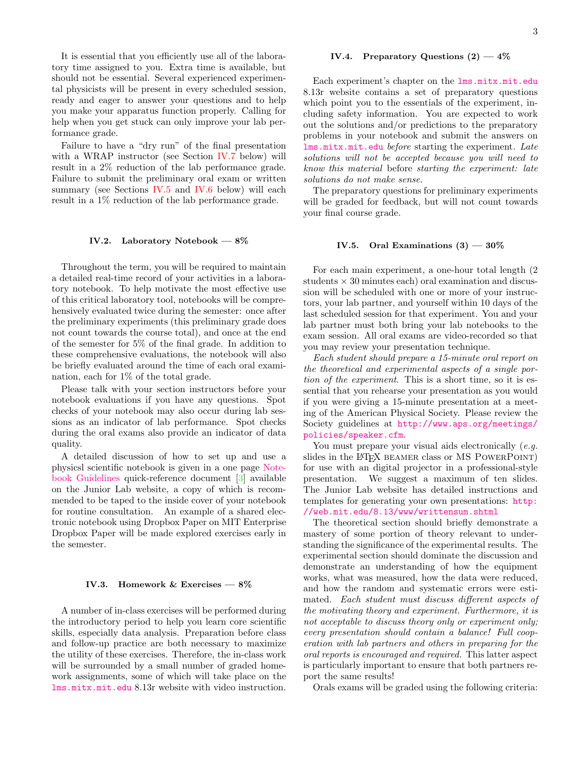It is essential that you efficiently use all of the laboratory time assigned to you. Extra time is available, but should not be essential. Several experienced experimental physicists will be present in every scheduled session, ready and eager to answer your questions and to help you make your apparatus function properly. Calling for help when you get stuck can only improve your lab performance grade.

Failure to have a "dry run" of the final presentation with a WRAP instructor (see Section [IV.7](#page-3-0) below) will result in a 2% reduction of the lab performance grade. Failure to submit the preliminary oral exam or written summary (see Sections [IV.5](#page-2-0) and [IV.6](#page-3-1) below) will each result in a 1% reduction of the lab performance grade.

# IV.2. Laboratory Notebook — 8%

Throughout the term, you will be required to maintain a detailed real-time record of your activities in a laboratory notebook. To help motivate the most effective use of this critical laboratory tool, notebooks will be comprehensively evaluated twice during the semester: once after the preliminary experiments (this preliminary grade does not count towards the course total), and once at the end of the semester for 5% of the final grade. In addition to these comprehensive evaluations, the notebook will also be briefly evaluated around the time of each oral examination, each for 1% of the total grade.

Please talk with your section instructors before your notebook evaluations if you have any questions. Spot checks of your notebook may also occur during lab sessions as an indicator of lab performance. Spot checks during the oral exams also provide an indicator of data quality.

A detailed discussion of how to set up and use a physicsl scientific notebook is given in a one page [Note](http://web.mit.edu/8.13/www/JLIntroFiles/JLNotebooks.pdf)[book Guidelines](http://web.mit.edu/8.13/www/JLIntroFiles/JLNotebooks.pdf) quick-reference document [\[3\]](#page-4-2) available on the Junior Lab website, a copy of which is recommended to be taped to the inside cover of your notebook for routine consultation. An example of a shared electronic notebook using Dropbox Paper on MIT Enterprise Dropbox Paper will be made explored exercises early in the semester.

### IV.3. Homework & Exercises  $-8\%$

A number of in-class exercises will be performed during the introductory period to help you learn core scientific skills, especially data analysis. Preparation before class and follow-up practice are both necessary to maximize the utility of these exercises. Therefore, the in-class work will be surrounded by a small number of graded homework assignments, some of which will take place on the [lms.mitx.mit.edu](https://lms.mitx.mit.edu/) 8.13r website with video instruction.

# IV.4. Preparatory Questions  $(2)$  - 4%

Each experiment's chapter on the [lms.mitx.mit.edu](https://lms.mitx.mit.edu/) 8.13r website contains a set of preparatory questions which point you to the essentials of the experiment, including safety information. You are expected to work out the solutions and/or predictions to the preparatory problems in your notebook and submit the answers on [lms.mitx.mit.edu](https://lms.mitx.mit.edu/) before starting the experiment. Late solutions will not be accepted because you will need to know this material before starting the experiment: late solutions do not make sense.

The preparatory questions for preliminary experiments will be graded for feedback, but will not count towards your final course grade.

### <span id="page-2-0"></span>IV.5. Oral Examinations  $(3)$  —  $30\%$

For each main experiment, a one-hour total length (2 students  $\times$  30 minutes each) oral examination and discussion will be scheduled with one or more of your instructors, your lab partner, and yourself within 10 days of the last scheduled session for that experiment. You and your lab partner must both bring your lab notebooks to the exam session. All oral exams are video-recorded so that you may review your presentation technique.

Each student should prepare a 15-minute oral report on the theoretical and experimental aspects of a single portion of the experiment. This is a short time, so it is essential that you rehearse your presentation as you would if you were giving a 15-minute presentation at a meeting of the American Physical Society. Please review the Society guidelines at [http://www.aps.org/meetings/](http://www.aps.org/meetings/policies/speaker.cfm) [policies/speaker.cfm](http://www.aps.org/meetings/policies/speaker.cfm).

You must prepare your visual aids electronically (e.g. slides in the LAT<sub>EX</sub> BEAMER class or MS POWERPOINT) for use with an digital projector in a professional-style presentation. We suggest a maximum of ten slides. The Junior Lab website has detailed instructions and templates for generating your own presentations: [http:](http://web.mit.edu/8.13/www/writtensum.shtml) [//web.mit.edu/8.13/www/writtensum.shtml](http://web.mit.edu/8.13/www/writtensum.shtml)

The theoretical section should briefly demonstrate a mastery of some portion of theory relevant to understanding the significance of the experimental results. The experimental section should dominate the discussion and demonstrate an understanding of how the equipment works, what was measured, how the data were reduced, and how the random and systematic errors were estimated. Each student must discuss different aspects of the motivating theory and experiment. Furthermore, it is not acceptable to discuss theory only or experiment only; every presentation should contain a balance! Full cooperation with lab partners and others in preparing for the oral reports is encouraged and required. This latter aspect is particularly important to ensure that both partners report the same results!

Orals exams will be graded using the following criteria: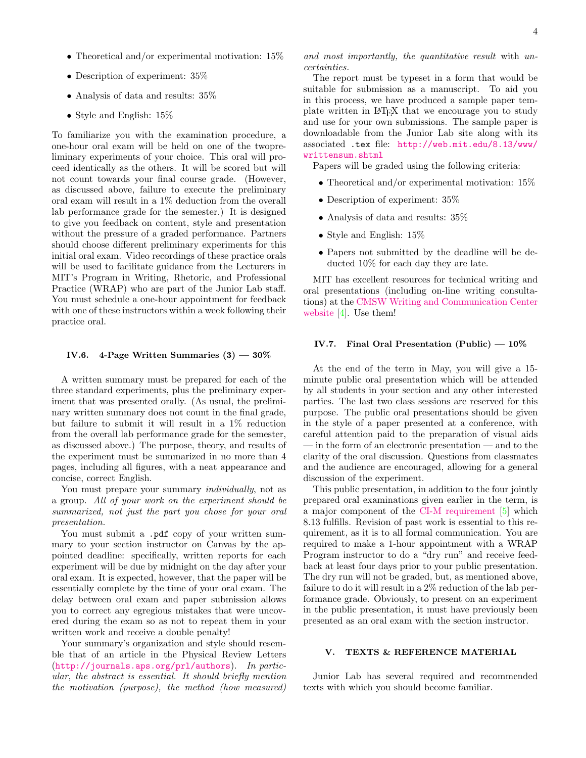- Theoretical and/or experimental motivation:  $15\%$
- Description of experiment:  $35\%$
- Analysis of data and results: 35%
- Style and English: 15%

To familiarize you with the examination procedure, a one-hour oral exam will be held on one of the twopreliminary experiments of your choice. This oral will proceed identically as the others. It will be scored but will not count towards your final course grade. (However, as discussed above, failure to execute the preliminary oral exam will result in a 1% deduction from the overall lab performance grade for the semester.) It is designed to give you feedback on content, style and presentation without the pressure of a graded performance. Partners should choose different preliminary experiments for this initial oral exam. Video recordings of these practice orals will be used to facilitate guidance from the Lecturers in MIT's Program in Writing, Rhetoric, and Professional Practice (WRAP) who are part of the Junior Lab staff. You must schedule a one-hour appointment for feedback with one of these instructors within a week following their practice oral.

### <span id="page-3-1"></span>IV.6. 4-Page Written Summaries  $(3)$  — 30%

A written summary must be prepared for each of the three standard experiments, plus the preliminary experiment that was presented orally. (As usual, the preliminary written summary does not count in the final grade, but failure to submit it will result in a 1% reduction from the overall lab performance grade for the semester, as discussed above.) The purpose, theory, and results of the experiment must be summarized in no more than 4 pages, including all figures, with a neat appearance and concise, correct English.

You must prepare your summary *individually*, not as a group. All of your work on the experiment should be summarized, not just the part you chose for your oral presentation.

You must submit a .pdf copy of your written summary to your section instructor on Canvas by the appointed deadline: specifically, written reports for each experiment will be due by midnight on the day after your oral exam. It is expected, however, that the paper will be essentially complete by the time of your oral exam. The delay between oral exam and paper submission allows you to correct any egregious mistakes that were uncovered during the exam so as not to repeat them in your written work and receive a double penalty!

Your summary's organization and style should resemble that of an article in the Physical Review Letters (<http://journals.aps.org/prl/authors>). In particular, the abstract is essential. It should briefly mention the motivation (purpose), the method (how measured)

and most importantly, the quantitative result with uncertainties.

The report must be typeset in a form that would be suitable for submission as a manuscript. To aid you in this process, we have produced a sample paper template written in LATEX that we encourage you to study and use for your own submissions. The sample paper is downloadable from the Junior Lab site along with its associated .tex file: [http://web.mit.edu/8.13/www/](http://web.mit.edu/8.13/www/writtensum.shtml) [writtensum.shtml](http://web.mit.edu/8.13/www/writtensum.shtml)

Papers will be graded using the following criteria:

- Theoretical and/or experimental motivation:  $15\%$
- Description of experiment:  $35\%$
- Analysis of data and results: 35%
- Style and English: 15%
- Papers not submitted by the deadline will be deducted 10% for each day they are late.

MIT has excellent resources for technical writing and oral presentations (including on-line writing consultations) at the [CMSW Writing and Communication Center](http://cmsw.mit.edu/writing-and-communication-center/) [website](http://cmsw.mit.edu/writing-and-communication-center/) [\[4\]](#page-4-3). Use them!

### <span id="page-3-0"></span>IV.7. Final Oral Presentation (Public)  $-10\%$

At the end of the term in May, you will give a 15 minute public oral presentation which will be attended by all students in your section and any other interested parties. The last two class sessions are reserved for this purpose. The public oral presentations should be given in the style of a paper presented at a conference, with careful attention paid to the preparation of visual aids — in the form of an electronic presentation — and to the clarity of the oral discussion. Questions from classmates and the audience are encouraged, allowing for a general discussion of the experiment.

This public presentation, in addition to the four jointly prepared oral examinations given earlier in the term, is a major component of the [CI-M requirement](http://web.mit.edu/commreq/background.html) [\[5\]](#page-4-4) which 8.13 fulfills. Revision of past work is essential to this requirement, as it is to all formal communication. You are required to make a 1-hour appointment with a WRAP Program instructor to do a "dry run" and receive feedback at least four days prior to your public presentation. The dry run will not be graded, but, as mentioned above, failure to do it will result in a 2% reduction of the lab performance grade. Obviously, to present on an experiment in the public presentation, it must have previously been presented as an oral exam with the section instructor.

## V. TEXTS & REFERENCE MATERIAL

Junior Lab has several required and recommended texts with which you should become familiar.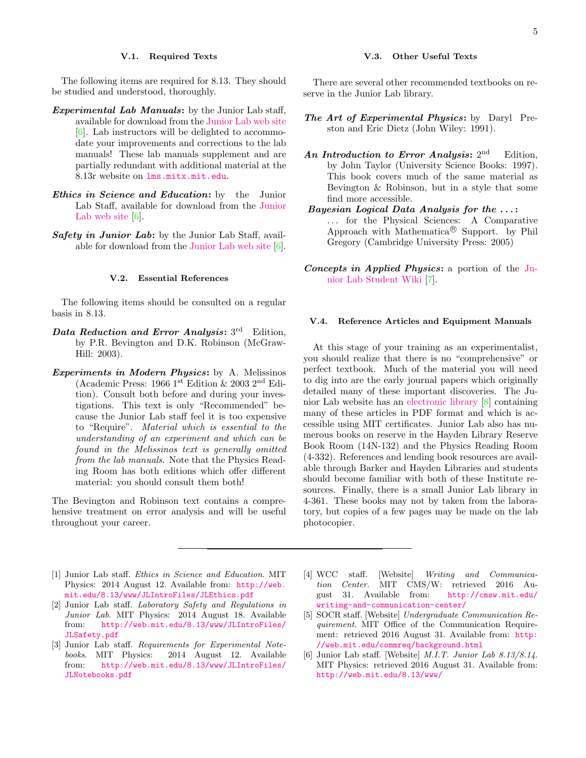### V.1. Required Texts

The following items are required for 8.13. They should be studied and understood, thoroughly.

- Experimental Lab Manuals: by the Junior Lab staff, available for download from the [Junior Lab web site](http://web.mit.edu/8.13/www/experiments.shtml) [\[6\]](#page-4-5). Lab instructors will be delighted to accommodate your improvements and corrections to the lab manuals! These lab manuals supplement and are partially redundant with additional material at the 8.13r website on [lms.mitx.mit.edu](https://lms.mitx.mit.edu/).
- **Ethics in Science and Education:** by the Junior Lab Staff, available for download from the [Junior](http://web.mit.edu/8.13/www/experiments.shtml) [Lab web site](http://web.mit.edu/8.13/www/experiments.shtml)  $[6]$ .
- **Safety in Junior Lab:** by the Junior Lab Staff, available for download from the [Junior Lab web site](http://web.mit.edu/8.13/www/experiments.shtml) [\[6\]](#page-4-5).

# V.2. Essential References

The following items should be consulted on a regular basis in 8.13.

- Data Reduction and Error Analysis:  $3<sup>rd</sup>$  Edition, by P.R. Bevington and D.K. Robinson (McGraw-Hill: 2003).
- Experiments in Modern Physics: by A. Melissinos (Academic Press: 1966 1st Edition & 2003 2nd Edition). Consult both before and during your investigations. This text is only "Recommended" because the Junior Lab staff feel it is too expensive to "Require". Material which is essential to the understanding of an experiment and which can be found in the Melissinos text is generally omitted from the lab manuals. Note that the Physics Reading Room has both editions which offer different material: you should consult them both!

The Bevington and Robinson text contains a comprehensive treatment on error analysis and will be useful throughout your career.

# V.3. Other Useful Texts

There are several other recommended textbooks on reserve in the Junior Lab library.

- The Art of Experimental Physics: by Daryl Preston and Eric Dietz (John Wiley: 1991).
- An Introduction to Error Analysis:  $2<sup>nd</sup>$ Edition. by John Taylor (University Science Books: 1997). This book covers much of the same material as Bevington & Robinson, but in a style that some find more accessible.
- Bayesian Logical Data Analysis for the . . . : . . . for the Physical Sciences: A Comparative Approach with Mathematica <sup>R</sup> Support. by Phil Gregory (Cambridge University Press: 2005)
- Concepts in Applied Physics: a portion of the [Ju](https://jlab.mit.edu/wiki/Concepts_in_Applied_Physics)[nior Lab Student Wiki](https://jlab.mit.edu/wiki/Concepts_in_Applied_Physics) [\[7\]](#page-5-0).

### V.4. Reference Articles and Equipment Manuals

At this stage of your training as an experimentalist, you should realize that there is no "comprehensive" or perfect textbook. Much of the material you will need to dig into are the early journal papers which originally detailed many of these important discoveries. The Junior Lab website has an [electronic library](https://web.mit.edu/8.13/8.13a/library-index.html) [\[8\]](#page-5-1) containing many of these articles in PDF format and which is accessible using MIT certificates. Junior Lab also has numerous books on reserve in the Hayden Library Reserve Book Room (14N-132) and the Physics Reading Room (4-332). References and lending book resources are available through Barker and Hayden Libraries and students should become familiar with both of these Institute resources. Finally, there is a small Junior Lab library in 4-361. These books may not by taken from the laboratory, but copies of a few pages may be made on the lab photocopier.

- <span id="page-4-0"></span>[1] Junior Lab staff. Ethics in Science and Education. MIT Physics: 2014 August 12. Available from: [http://web.](http://web.mit.edu/8.13/www/JLIntroFiles/JLEthics.pdf) [mit.edu/8.13/www/JLIntroFiles/JLEthics.pdf](http://web.mit.edu/8.13/www/JLIntroFiles/JLEthics.pdf)
- <span id="page-4-1"></span>[2] Junior Lab staff. Laboratory Safety and Regulations in Junior Lab. MIT Physics: 2014 August 18. Available from: [http://web.mit.edu/8.13/www/JLIntroFiles/](http://web.mit.edu/8.13/www/JLIntroFiles/JLSafety.pdf) [JLSafety.pdf](http://web.mit.edu/8.13/www/JLIntroFiles/JLSafety.pdf)
- <span id="page-4-2"></span>[3] Junior Lab staff. Requirements for Experimental Notebooks. MIT Physics: 2014 August 12. Available from: [http://web.mit.edu/8.13/www/JLIntroFiles/](http://web.mit.edu/8.13/www/JLIntroFiles/JLNotebooks.pdf) [JLNotebooks.pdf](http://web.mit.edu/8.13/www/JLIntroFiles/JLNotebooks.pdf)
- <span id="page-4-3"></span>[4] WCC staff. [Website] *Writing and Communication Center*. MIT CMS/W: retrieved 2016 Au-MIT CMS/W: retrieved 2016 August 31. Available from: [http://cmsw.mit.edu/](http://cmsw.mit.edu/writing-and-communication-center/) [writing-and-communication-center/](http://cmsw.mit.edu/writing-and-communication-center/)
- <span id="page-4-4"></span>[5] SOCR staff. [Website] Undergraduate Communication Requirement. MIT Office of the Communication Requirement: retrieved 2016 August 31. Available from: [http:](http://web.mit.edu/commreq/background.html) [//web.mit.edu/commreq/background.html](http://web.mit.edu/commreq/background.html)
- <span id="page-4-5"></span>[6] Junior Lab staff. [Website] M.I.T. Junior Lab 8.13/8.14. MIT Physics: retrieved 2016 August 31. Available from: <http://web.mit.edu/8.13/www/>